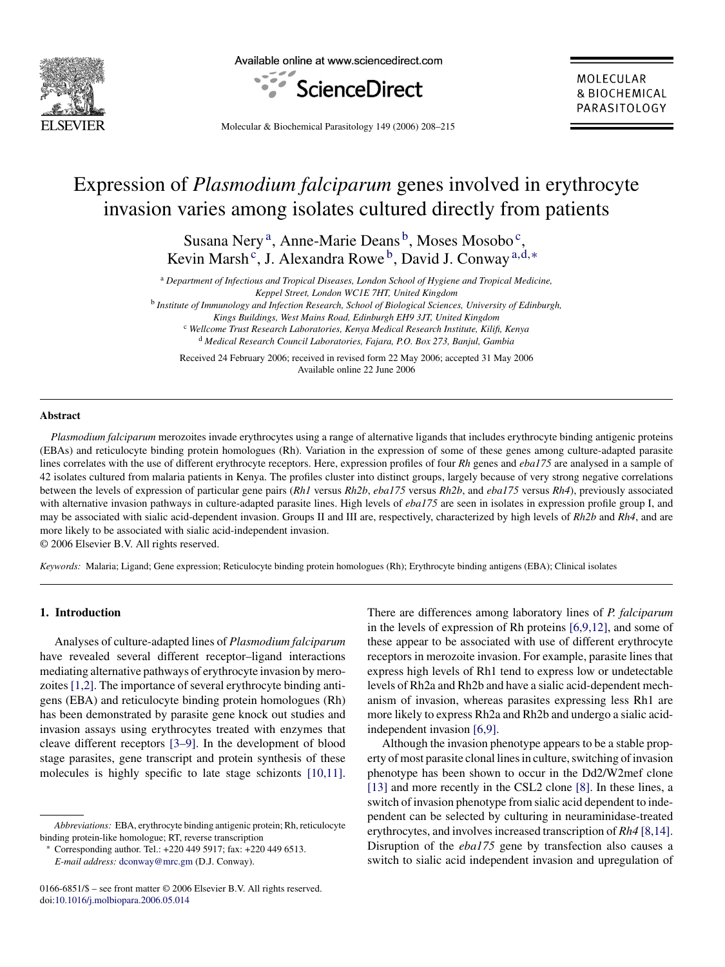

Available online at www.sciencedirect.com



MOI FCUI AR & BIOCHEMICAL PARASITOLOGY

Molecular & Biochemical Parasitology 149 (2006) 208–215

# Expression of *Plasmodium falciparum* genes involved in erythrocyte invasion varies among isolates cultured directly from patients

Susana Nery<sup>a</sup>, Anne-Marie Deans<sup>b</sup>, Moses Mosobo<sup>c</sup>, Kevin Marsh<sup>c</sup>, J. Alexandra Rowe<sup>b</sup>, David J. Conway<sup>a,d,∗</sup>

<sup>a</sup> *Department of Infectious and Tropical Diseases, London School of Hygiene and Tropical Medicine, Keppel Street, London WC1E 7HT, United Kingdom*

<sup>b</sup> *Institute of Immunology and Infection Research, School of Biological Sciences, University of Edinburgh,*

*Kings Buildings, West Mains Road, Edinburgh EH9 3JT, United Kingdom* <sup>c</sup> *Wellcome Trust Research Laboratories, Kenya Medical Research Institute, Kilifi, Kenya* <sup>d</sup> *Medical Research Council Laboratories, Fajara, P.O. Box 273, Banjul, Gambia*

Received 24 February 2006; received in revised form 22 May 2006; accepted 31 May 2006 Available online 22 June 2006

#### **Abstract**

*Plasmodium falciparum* merozoites invade erythrocytes using a range of alternative ligands that includes erythrocyte binding antigenic proteins (EBAs) and reticulocyte binding protein homologues (Rh). Variation in the expression of some of these genes among culture-adapted parasite lines correlates with the use of different erythrocyte receptors. Here, expression profiles of four *Rh* genes and *eba175* are analysed in a sample of 42 isolates cultured from malaria patients in Kenya. The profiles cluster into distinct groups, largely because of very strong negative correlations between the levels of expression of particular gene pairs (*Rh1* versus *Rh2b*, *eba175* versus *Rh2b*, and *eba175* versus *Rh4*), previously associated with alternative invasion pathways in culture-adapted parasite lines. High levels of *eba175* are seen in isolates in expression profile group I, and may be associated with sialic acid-dependent invasion. Groups II and III are, respectively, characterized by high levels of *Rh2b* and *Rh4*, and are more likely to be associated with sialic acid-independent invasion.

© 2006 Elsevier B.V. All rights reserved.

*Keywords:* Malaria; Ligand; Gene expression; Reticulocyte binding protein homologues (Rh); Erythrocyte binding antigens (EBA); Clinical isolates

## **1. Introduction**

Analyses of culture-adapted lines of *Plasmodium falciparum* have revealed several different receptor–ligand interactions mediating alternative pathways of erythrocyte invasion by merozoites [\[1,2\]. T](#page-7-0)he importance of several erythrocyte binding antigens (EBA) and reticulocyte binding protein homologues (Rh) has been demonstrated by parasite gene knock out studies and invasion assays using erythrocytes treated with enzymes that cleave different receptors [\[3–9\].](#page-7-0) In the development of blood stage parasites, gene transcript and protein synthesis of these molecules is highly specific to late stage schizonts [\[10,11\].](#page-7-0) There are differences among laboratory lines of *P. falciparum* in the levels of expression of Rh proteins [\[6,9,12\],](#page-7-0) and some of these appear to be associated with use of different erythrocyte receptors in merozoite invasion. For example, parasite lines that express high levels of Rh1 tend to express low or undetectable levels of Rh2a and Rh2b and have a sialic acid-dependent mechanism of invasion, whereas parasites expressing less Rh1 are more likely to express Rh2a and Rh2b and undergo a sialic acidindependent invasion [\[6,9\].](#page-7-0)

Although the invasion phenotype appears to be a stable property of most parasite clonal lines in culture, switching of invasion phenotype has been shown to occur in the Dd2/W2mef clone [\[13\]](#page-7-0) and more recently in the CSL2 clone [\[8\].](#page-7-0) In these lines, a switch of invasion phenotype from sialic acid dependent to independent can be selected by culturing in neuraminidase-treated erythrocytes, and involves increased transcription of *Rh4* [\[8,14\].](#page-7-0) Disruption of the *eba175* gene by transfection also causes a switch to sialic acid independent invasion and upregulation of

*Abbreviations:* EBA, erythrocyte binding antigenic protein; Rh, reticulocyte binding protein-like homologue; RT, reverse transcription

<sup>∗</sup> Corresponding author. Tel.: +220 449 5917; fax: +220 449 6513. *E-mail address:* [dconway@mrc.gm](mailto:dconway@mrc.gm) (D.J. Conway).

<sup>0166-6851/\$ –</sup> see front matter © 2006 Elsevier B.V. All rights reserved. doi[:10.1016/j.molbiopara.2006.05.014](dx.doi.org/10.1016/j.molbiopara.2006.05.014)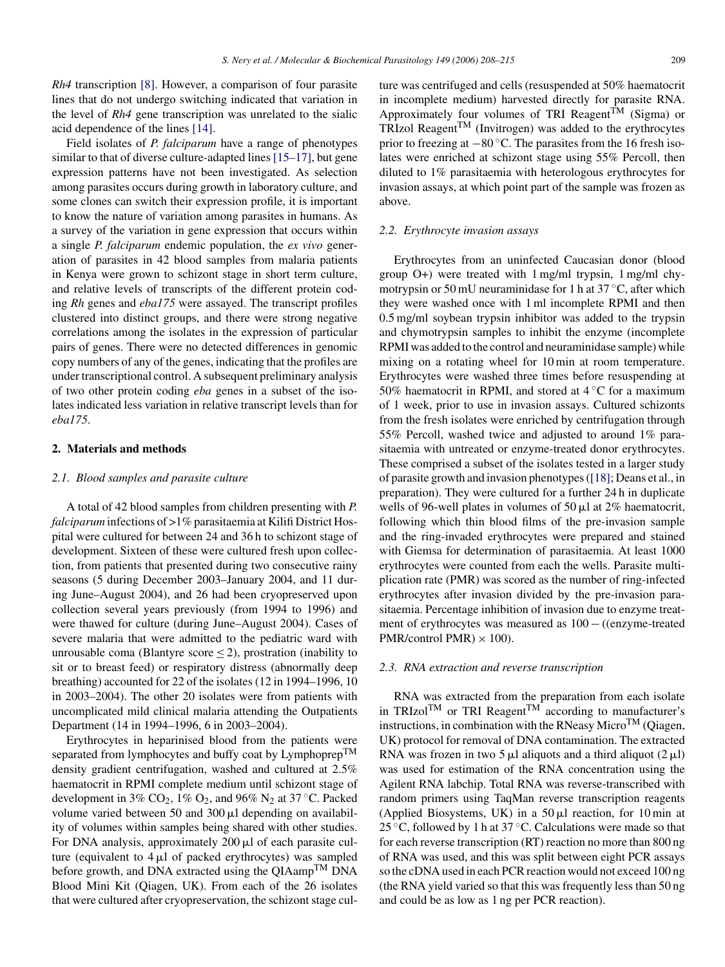*Rh4* transcription [\[8\].](#page-7-0) However, a comparison of four parasite lines that do not undergo switching indicated that variation in the level of *Rh4* gene transcription was unrelated to the sialic acid dependence of the lines [\[14\].](#page-7-0)

Field isolates of *P. falciparum* have a range of phenotypes similar to that of diverse culture-adapted lines [\[15–17\], b](#page-7-0)ut gene expression patterns have not been investigated. As selection among parasites occurs during growth in laboratory culture, and some clones can switch their expression profile, it is important to know the nature of variation among parasites in humans. As a survey of the variation in gene expression that occurs within a single *P. falciparum* endemic population, the *ex vivo* generation of parasites in 42 blood samples from malaria patients in Kenya were grown to schizont stage in short term culture, and relative levels of transcripts of the different protein coding *Rh* genes and *eba175* were assayed. The transcript profiles clustered into distinct groups, and there were strong negative correlations among the isolates in the expression of particular pairs of genes. There were no detected differences in genomic copy numbers of any of the genes, indicating that the profiles are under transcriptional control. A subsequent preliminary analysis of two other protein coding *eba* genes in a subset of the isolates indicated less variation in relative transcript levels than for *eba175*.

# **2. Materials and methods**

## *2.1. Blood samples and parasite culture*

A total of 42 blood samples from children presenting with *P. falciparum* infections of >1% parasitaemia at Kilifi District Hospital were cultured for between 24 and 36 h to schizont stage of development. Sixteen of these were cultured fresh upon collection, from patients that presented during two consecutive rainy seasons (5 during December 2003–January 2004, and 11 during June–August 2004), and 26 had been cryopreserved upon collection several years previously (from 1994 to 1996) and were thawed for culture (during June–August 2004). Cases of severe malaria that were admitted to the pediatric ward with unrousable coma (Blantyre score  $\leq$ 2), prostration (inability to sit or to breast feed) or respiratory distress (abnormally deep breathing) accounted for 22 of the isolates (12 in 1994–1996, 10 in 2003–2004). The other 20 isolates were from patients with uncomplicated mild clinical malaria attending the Outpatients Department (14 in 1994–1996, 6 in 2003–2004).

Erythrocytes in heparinised blood from the patients were separated from lymphocytes and buffy coat by Lymphoprep<sup>TM</sup> density gradient centrifugation, washed and cultured at 2.5% haematocrit in RPMI complete medium until schizont stage of development in 3%  $CO_2$ , 1%  $O_2$ , and 96% N<sub>2</sub> at 37 °C. Packed volume varied between 50 and 300  $\mu$ l depending on availability of volumes within samples being shared with other studies. For DNA analysis, approximately  $200 \mu l$  of each parasite culture (equivalent to  $4 \mu l$  of packed erythrocytes) was sampled before growth, and DNA extracted using the  $QIAamp<sup>TM</sup> DNA$ Blood Mini Kit (Qiagen, UK). From each of the 26 isolates that were cultured after cryopreservation, the schizont stage culture was centrifuged and cells (resuspended at 50% haematocrit in incomplete medium) harvested directly for parasite RNA. Approximately four volumes of TRI Reagent<sup>TM</sup> (Sigma) or  $TRIzol$  Reagent<sup>TM</sup> (Invitrogen) was added to the erythrocytes prior to freezing at −80 ◦C. The parasites from the 16 fresh isolates were enriched at schizont stage using 55% Percoll, then diluted to 1% parasitaemia with heterologous erythrocytes for invasion assays, at which point part of the sample was frozen as above.

## *2.2. Erythrocyte invasion assays*

Erythrocytes from an uninfected Caucasian donor (blood group O+) were treated with 1 mg/ml trypsin, 1 mg/ml chymotrypsin or 50 mU neuraminidase for 1 h at  $37^{\circ}$ C, after which they were washed once with 1 ml incomplete RPMI and then 0.5 mg/ml soybean trypsin inhibitor was added to the trypsin and chymotrypsin samples to inhibit the enzyme (incomplete RPMI was added to the control and neuraminidase sample) while mixing on a rotating wheel for 10 min at room temperature. Erythrocytes were washed three times before resuspending at 50% haematocrit in RPMI, and stored at  $4^{\circ}$ C for a maximum of 1 week, prior to use in invasion assays. Cultured schizonts from the fresh isolates were enriched by centrifugation through 55% Percoll, washed twice and adjusted to around 1% parasitaemia with untreated or enzyme-treated donor erythrocytes. These comprised a subset of the isolates tested in a larger study of parasite growth and invasion phenotypes ([\[18\]; D](#page-7-0)eans et al., in preparation). They were cultured for a further 24 h in duplicate wells of 96-well plates in volumes of 50  $\mu$ l at 2% haematocrit, following which thin blood films of the pre-invasion sample and the ring-invaded erythrocytes were prepared and stained with Giemsa for determination of parasitaemia. At least 1000 erythrocytes were counted from each the wells. Parasite multiplication rate (PMR) was scored as the number of ring-infected erythrocytes after invasion divided by the pre-invasion parasitaemia. Percentage inhibition of invasion due to enzyme treatment of erythrocytes was measured as 100 − ((enzyme-treated PMR/control PMR)  $\times$  100).

## *2.3. RNA extraction and reverse transcription*

RNA was extracted from the preparation from each isolate in TRIzol<sup>TM</sup> or TRI Reagent<sup>TM</sup> according to manufacturer's instructions, in combination with the RNeasy Micro<sup>TM</sup> (Qiagen, UK) protocol for removal of DNA contamination. The extracted RNA was frozen in two 5  $\mu$ l aliquots and a third aliquot (2  $\mu$ l) was used for estimation of the RNA concentration using the Agilent RNA labchip. Total RNA was reverse-transcribed with random primers using TaqMan reverse transcription reagents (Applied Biosystems, UK) in a  $50 \mu l$  reaction, for 10 min at 25  $\degree$ C, followed by 1 h at 37  $\degree$ C. Calculations were made so that for each reverse transcription (RT) reaction no more than 800 ng of RNA was used, and this was split between eight PCR assays so the cDNA used in each PCR reaction would not exceed 100 ng (the RNA yield varied so that this was frequently less than 50 ng and could be as low as 1 ng per PCR reaction).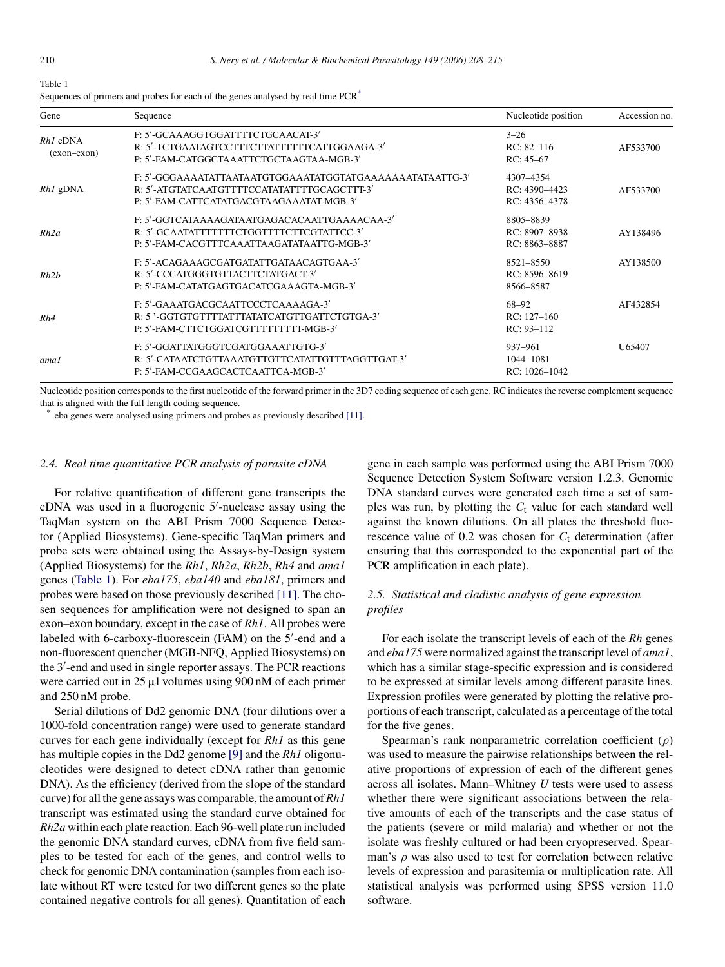<span id="page-2-0"></span>

| Table 1 |  |  |            |  |
|---------|--|--|------------|--|
| ÷       |  |  | $\epsilon$ |  |

| Gene                        | Sequence                                                                                                                                 | Nucleotide position                         | Accession no. |
|-----------------------------|------------------------------------------------------------------------------------------------------------------------------------------|---------------------------------------------|---------------|
| $Rh1$ cDNA<br>$(exon-exon)$ | F: 5'-GCAAAGGTGGATTTTCTGCAACAT-3'<br>R: 5'-TCTGAATAGTCCTTTCTTATTTTTTCATTGGAAGA-3'<br>P: 5'-FAM-CATGGCTAAATTCTGCTAAGTAA-MGB-3'            | $3 - 26$<br>$RC: 82-116$<br>$RC: 45-67$     | AF533700      |
| $Rh1$ gDNA                  | R: 5'-ATGTATCAATGTTTTCCATATATTTTGCAGCTTT-3'<br>P: 5'-FAM-CATTCATATGACGTAAGAAATAT-MGB-3'                                                  | 4307-4354<br>RC: 4390-4423<br>RC: 4356-4378 | AF533700      |
| Rh2a                        | F: 5'-GGTCATAAAAGATAATGAGACACAATTGAAAACAA-3'<br>R: 5'-GCAATATTTTTTTTCTGGTTTTCTTCGTATTCC-3'<br>P: 5'-FAM-CACGTTTCAAATTAAGATATAATTG-MGB-3' | 8805-8839<br>RC: 8907-8938<br>RC: 8863-8887 | AY138496      |
| Rh2b                        | F: 5'-ACAGAAAGCGATGATATTGATAACAGTGAA-3'<br>R: 5'-CCCATGGGTGTTACTTCTATGACT-3'<br>P: 5'-FAM-CATATGAGTGACATCGAAAGTA-MGB-3'                  | 8521-8550<br>RC: 8596-8619<br>8566-8587     | AY138500      |
| Rh4                         | F: 5'-GAAATGACGCAATTCCCTCAAAAGA-3'<br>R: 5'-GGTGTGTTTTATTTATATCATGTTGATTCTGTGA-3'<br>P: 5'-FAM-CTTCTGGATCGTTTTTTTTT-MGB-3'               | 68-92<br>$RC: 127-160$<br>$RC: 93-112$      | AF432854      |
| ama1                        | F: 5'-GGATTATGGGTCGATGGAAATTGTG-3'<br>R: 5'-CATAATCTGTTAAATGTTGTTCATATTGTTTAGGTTGAT-3'<br>P: 5'-FAM-CCGAAGCACTCAATTCA-MGB-3'             | 937-961<br>1044-1081<br>RC: 1026-1042       | U65407        |

Sequences of primers and probes for each of the genes analysed by real time PCR<sup>\*</sup>

Nucleotide position corresponds to the first nucleotide of the forward primer in the 3D7 coding sequence of each gene. RC indicates the reverse complement sequence that is aligned with the full length coding sequence.

eba genes were analysed using primers and probes as previously described [\[11\].](#page-7-0)

### *2.4. Real time quantitative PCR analysis of parasite cDNA*

For relative quantification of different gene transcripts the cDNA was used in a fluorogenic 5 -nuclease assay using the TaqMan system on the ABI Prism 7000 Sequence Detector (Applied Biosystems). Gene-specific TaqMan primers and probe sets were obtained using the Assays-by-Design system (Applied Biosystems) for the *Rh1*, *Rh2a*, *Rh2b*, *Rh4* and *ama1* genes (Table 1). For *eba175*, *eba140* and *eba181*, primers and probes were based on those previously described [\[11\]. T](#page-7-0)he chosen sequences for amplification were not designed to span an exon–exon boundary, except in the case of *Rh1*. All probes were labeled with 6-carboxy-fluorescein (FAM) on the 5'-end and a non-fluorescent quencher (MGB-NFQ, Applied Biosystems) on the 3 -end and used in single reporter assays. The PCR reactions were carried out in  $25 \mu l$  volumes using 900 nM of each primer and 250 nM probe.

Serial dilutions of Dd2 genomic DNA (four dilutions over a 1000-fold concentration range) were used to generate standard curves for each gene individually (except for *Rh1* as this gene has multiple copies in the Dd2 genome [\[9\]](#page-7-0) and the *Rh1* oligonucleotides were designed to detect cDNA rather than genomic DNA). As the efficiency (derived from the slope of the standard curve) for all the gene assays was comparable, the amount of *Rh1* transcript was estimated using the standard curve obtained for *Rh2a* within each plate reaction. Each 96-well plate run included the genomic DNA standard curves, cDNA from five field samples to be tested for each of the genes, and control wells to check for genomic DNA contamination (samples from each isolate without RT were tested for two different genes so the plate contained negative controls for all genes). Quantitation of each gene in each sample was performed using the ABI Prism 7000 Sequence Detection System Software version 1.2.3. Genomic DNA standard curves were generated each time a set of samples was run, by plotting the  $C_t$  value for each standard well against the known dilutions. On all plates the threshold fluorescence value of  $0.2$  was chosen for  $C_t$  determination (after ensuring that this corresponded to the exponential part of the PCR amplification in each plate).

# *2.5. Statistical and cladistic analysis of gene expression profiles*

For each isolate the transcript levels of each of the *Rh* genes and *eba175* were normalized against the transcript level of *ama1*, which has a similar stage-specific expression and is considered to be expressed at similar levels among different parasite lines. Expression profiles were generated by plotting the relative proportions of each transcript, calculated as a percentage of the total for the five genes.

Spearman's rank nonparametric correlation coefficient  $(\rho)$ was used to measure the pairwise relationships between the relative proportions of expression of each of the different genes across all isolates. Mann–Whitney *U* tests were used to assess whether there were significant associations between the relative amounts of each of the transcripts and the case status of the patients (severe or mild malaria) and whether or not the isolate was freshly cultured or had been cryopreserved. Spearman's  $\rho$  was also used to test for correlation between relative levels of expression and parasitemia or multiplication rate. All statistical analysis was performed using SPSS version 11.0 software.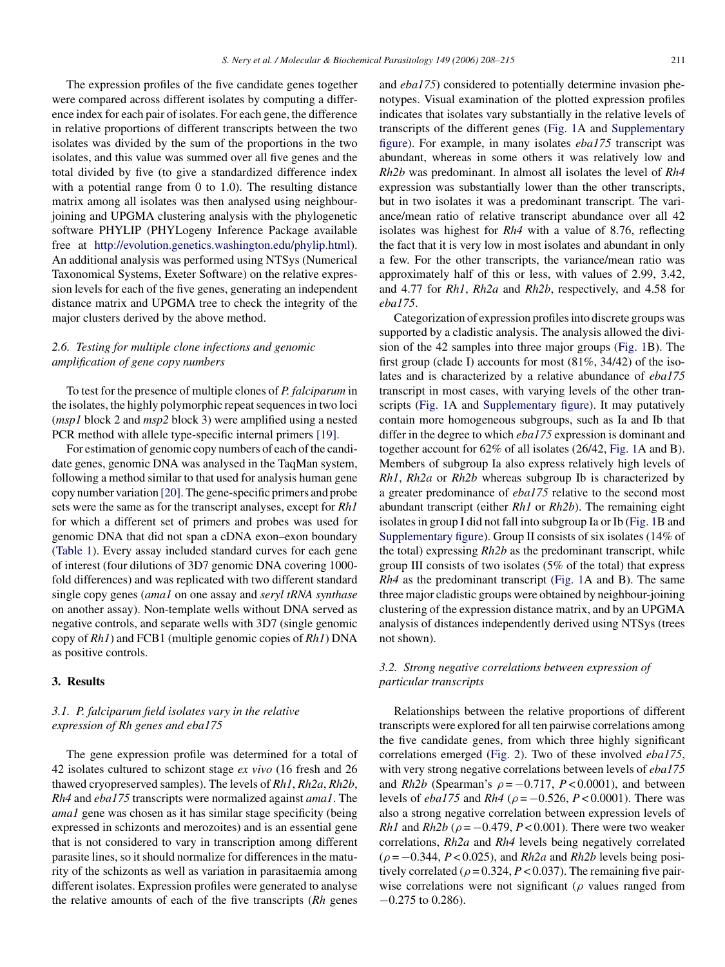The expression profiles of the five candidate genes together were compared across different isolates by computing a difference index for each pair of isolates. For each gene, the difference in relative proportions of different transcripts between the two isolates was divided by the sum of the proportions in the two isolates, and this value was summed over all five genes and the total divided by five (to give a standardized difference index with a potential range from 0 to 1.0). The resulting distance matrix among all isolates was then analysed using neighbourjoining and UPGMA clustering analysis with the phylogenetic software PHYLIP (PHYLogeny Inference Package available free at [http://evolution.genetics.washington.edu/phylip.html\)](http://evolution.genetics.washington.edu/phylip.html). An additional analysis was performed using NTSys (Numerical Taxonomical Systems, Exeter Software) on the relative expression levels for each of the five genes, generating an independent distance matrix and UPGMA tree to check the integrity of the major clusters derived by the above method.

## *2.6. Testing for multiple clone infections and genomic amplification of gene copy numbers*

To test for the presence of multiple clones of *P. falciparum* in the isolates, the highly polymorphic repeat sequences in two loci (*msp1* block 2 and *msp2* block 3) were amplified using a nested PCR method with allele type-specific internal primers [\[19\].](#page-7-0)

For estimation of genomic copy numbers of each of the candidate genes, genomic DNA was analysed in the TaqMan system, following a method similar to that used for analysis human gene copy number variation [\[20\]. T](#page-7-0)he gene-specific primers and probe sets were the same as for the transcript analyses, except for *Rh1* for which a different set of primers and probes was used for genomic DNA that did not span a cDNA exon–exon boundary ([Table 1\).](#page-2-0) Every assay included standard curves for each gene of interest (four dilutions of 3D7 genomic DNA covering 1000 fold differences) and was replicated with two different standard single copy genes (*ama1* on one assay and *seryl tRNA synthase* on another assay). Non-template wells without DNA served as negative controls, and separate wells with 3D7 (single genomic copy of *Rh1*) and FCB1 (multiple genomic copies of *Rh1*) DNA as positive controls.

## **3. Results**

# *3.1. P. falciparum field isolates vary in the relative expression of Rh genes and eba175*

The gene expression profile was determined for a total of 42 isolates cultured to schizont stage *ex vivo* (16 fresh and 26 thawed cryopreserved samples). The levels of *Rh1*, *Rh2a*, *Rh2b*, *Rh4* and *eba175* transcripts were normalized against *ama1*. The *ama1* gene was chosen as it has similar stage specificity (being expressed in schizonts and merozoites) and is an essential gene that is not considered to vary in transcription among different parasite lines, so it should normalize for differences in the maturity of the schizonts as well as variation in parasitaemia among different isolates. Expression profiles were generated to analyse the relative amounts of each of the five transcripts (*Rh* genes

and *eba175*) considered to potentially determine invasion phenotypes. Visual examination of the plotted expression profiles indicates that isolates vary substantially in the relative levels of transcripts of the different genes [\(Fig. 1A](#page-4-0) and [Supplementary](#page-7-0) [figure\).](#page-7-0) For example, in many isolates *eba175* transcript was abundant, whereas in some others it was relatively low and *Rh2b* was predominant. In almost all isolates the level of *Rh4* expression was substantially lower than the other transcripts, but in two isolates it was a predominant transcript. The variance/mean ratio of relative transcript abundance over all 42 isolates was highest for *Rh4* with a value of 8.76, reflecting the fact that it is very low in most isolates and abundant in only a few. For the other transcripts, the variance/mean ratio was approximately half of this or less, with values of 2.99, 3.42, and 4.77 for *Rh1*, *Rh2a* and *Rh2b*, respectively, and 4.58 for *eba175*.

Categorization of expression profiles into discrete groups was supported by a cladistic analysis. The analysis allowed the division of the 42 samples into three major groups ([Fig. 1B](#page-4-0)). The first group (clade I) accounts for most (81%, 34/42) of the isolates and is characterized by a relative abundance of *eba175* transcript in most cases, with varying levels of the other transcripts [\(Fig. 1A](#page-4-0) and [Supplementary figure\).](#page-7-0) It may putatively contain more homogeneous subgroups, such as Ia and Ib that differ in the degree to which *eba175* expression is dominant and together account for 62% of all isolates (26/42, [Fig. 1A](#page-4-0) and B). Members of subgroup Ia also express relatively high levels of *Rh1*, *Rh2a* or *Rh2b* whereas subgroup Ib is characterized by a greater predominance of *eba175* relative to the second most abundant transcript (either *Rh1* or *Rh2b*). The remaining eight isolates in group I did not fall into subgroup Ia or Ib [\(Fig. 1B](#page-4-0) and [Supplementary figure\).](#page-7-0) Group II consists of six isolates (14% of the total) expressing *Rh2b* as the predominant transcript, while group III consists of two isolates (5% of the total) that express *Rh4* as the predominant transcript ([Fig. 1A](#page-4-0) and B). The same three major cladistic groups were obtained by neighbour-joining clustering of the expression distance matrix, and by an UPGMA analysis of distances independently derived using NTSys (trees not shown).

# *3.2. Strong negative correlations between expression of particular transcripts*

Relationships between the relative proportions of different transcripts were explored for all ten pairwise correlations among the five candidate genes, from which three highly significant correlations emerged [\(Fig. 2\).](#page-5-0) Two of these involved *eba175*, with very strong negative correlations between levels of *eba175* and *Rh2b* (Spearman's  $\rho = -0.717$ ,  $P < 0.0001$ ), and between levels of *eba175* and *Rh4* ( $\rho = -0.526$ ,  $P < 0.0001$ ). There was also a strong negative correlation between expression levels of *Rh1* and *Rh2b* ( $\rho = -0.479$ ,  $P < 0.001$ ). There were two weaker correlations, *Rh2a* and *Rh4* levels being negatively correlated  $(\rho = -0.344, P < 0.025)$ , and *Rh2a* and *Rh2b* levels being positively correlated ( $\rho = 0.324$ ,  $P < 0.037$ ). The remaining five pairwise correlations were not significant ( $\rho$  values ranged from −0.275 to 0.286).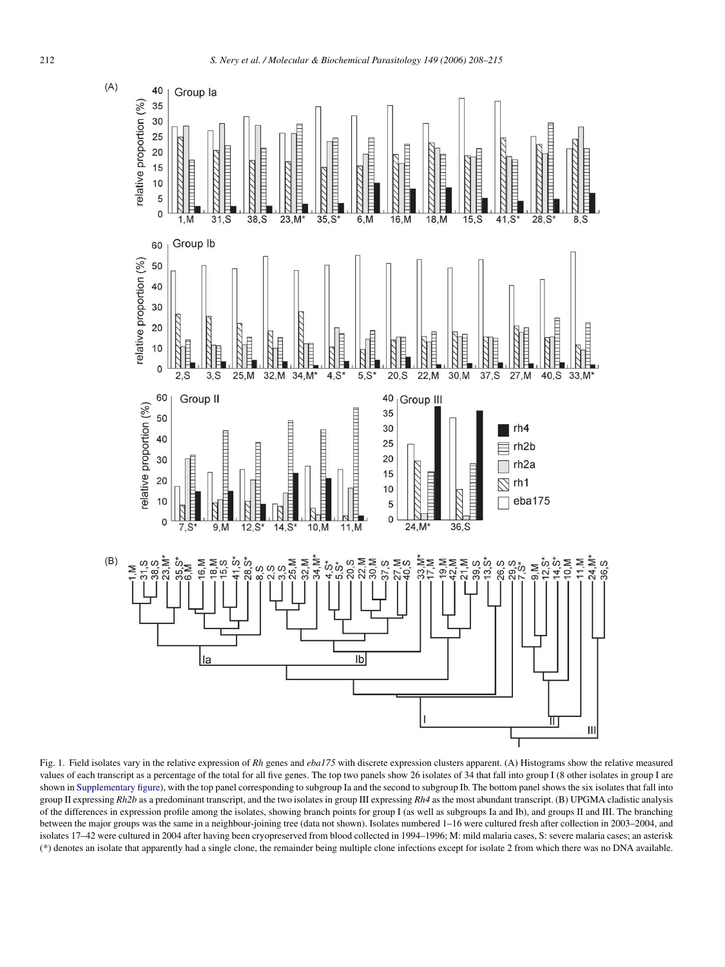<span id="page-4-0"></span>

Fig. 1. Field isolates vary in the relative expression of *Rh* genes and *eba175* with discrete expression clusters apparent. (A) Histograms show the relative measured values of each transcript as a percentage of the total for all five genes. The top two panels show 26 isolates of 34 that fall into group I (8 other isolates in group I are shown in [Supplementary figure\),](#page-7-0) with the top panel corresponding to subgroup Ia and the second to subgroup Ib. The bottom panel shows the six isolates that fall into group II expressing *Rh2b* as a predominant transcript, and the two isolates in group III expressing *Rh4* as the most abundant transcript. (B) UPGMA cladistic analysis of the differences in expression profile among the isolates, showing branch points for group I (as well as subgroups Ia and Ib), and groups II and III. The branching between the major groups was the same in a neighbour-joining tree (data not shown). Isolates numbered 1–16 were cultured fresh after collection in 2003–2004, and isolates 17–42 were cultured in 2004 after having been cryopreserved from blood collected in 1994–1996; M: mild malaria cases, S: severe malaria cases; an asterisk (\*) denotes an isolate that apparently had a single clone, the remainder being multiple clone infections except for isolate 2 from which there was no DNA available.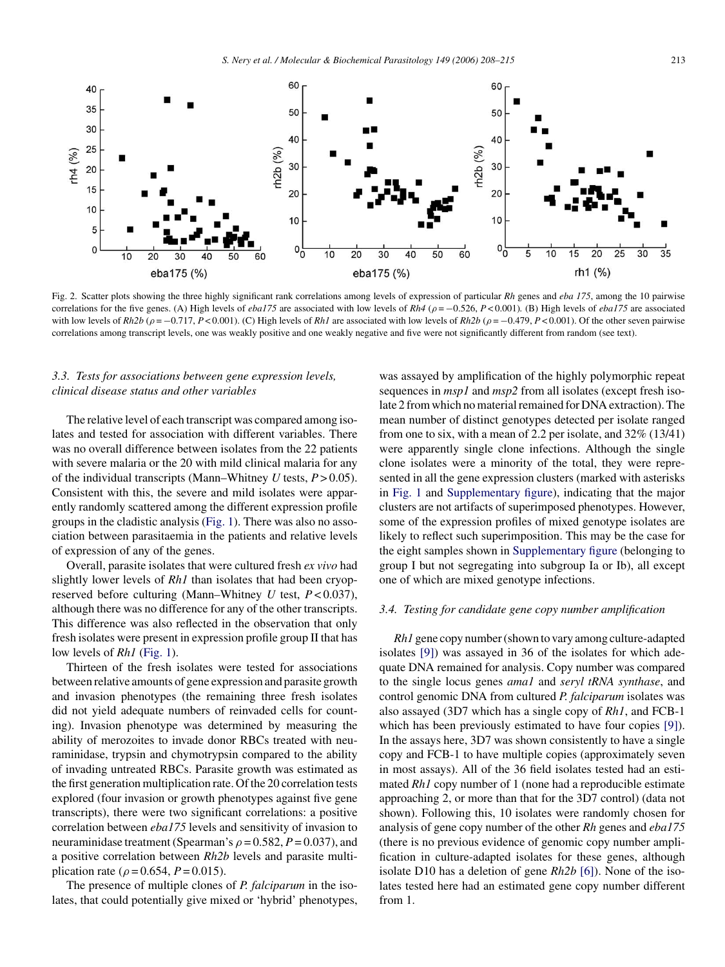<span id="page-5-0"></span>

Fig. 2. Scatter plots showing the three highly significant rank correlations among levels of expression of particular *Rh* genes and *eba 175*, among the 10 pairwise correlations for the five genes. (A) High levels of *eba175* are associated with low levels of *Rh4* ( $\rho = -0.526$ ,  $P < 0.001$ ). (B) High levels of *eba175* are associated with low levels of  $Rh2b$  ( $\rho = -0.717$ ,  $P < 0.001$ ). (C) High levels of  $Rh1$  are associated with low levels of  $Rh2b$  ( $\rho = -0.479$ ,  $P < 0.001$ ). Of the other seven pairwise correlations among transcript levels, one was weakly positive and one weakly negative and five were not significantly different from random (see text).

# *3.3. Tests for associations between gene expression levels, clinical disease status and other variables*

The relative level of each transcript was compared among isolates and tested for association with different variables. There was no overall difference between isolates from the 22 patients with severe malaria or the 20 with mild clinical malaria for any of the individual transcripts (Mann–Whitney *U* tests, *P* > 0.05). Consistent with this, the severe and mild isolates were apparently randomly scattered among the different expression profile groups in the cladistic analysis [\(Fig. 1\).](#page-4-0) There was also no association between parasitaemia in the patients and relative levels of expression of any of the genes.

Overall, parasite isolates that were cultured fresh *ex vivo* had slightly lower levels of *Rh1* than isolates that had been cryopreserved before culturing (Mann–Whitney *U* test, *P* < 0.037), although there was no difference for any of the other transcripts. This difference was also reflected in the observation that only fresh isolates were present in expression profile group II that has low levels of *Rh1* ([Fig. 1\).](#page-4-0)

Thirteen of the fresh isolates were tested for associations between relative amounts of gene expression and parasite growth and invasion phenotypes (the remaining three fresh isolates did not yield adequate numbers of reinvaded cells for counting). Invasion phenotype was determined by measuring the ability of merozoites to invade donor RBCs treated with neuraminidase, trypsin and chymotrypsin compared to the ability of invading untreated RBCs. Parasite growth was estimated as the first generation multiplication rate. Of the 20 correlation tests explored (four invasion or growth phenotypes against five gene transcripts), there were two significant correlations: a positive correlation between *eba175* levels and sensitivity of invasion to neuraminidase treatment (Spearman's  $\rho = 0.582$ ,  $P = 0.037$ ), and a positive correlation between *Rh2b* levels and parasite multiplication rate ( $\rho = 0.654$ ,  $P = 0.015$ ).

The presence of multiple clones of *P. falciparum* in the isolates, that could potentially give mixed or 'hybrid' phenotypes, was assayed by amplification of the highly polymorphic repeat sequences in *msp1* and *msp2* from all isolates (except fresh isolate 2 from which no material remained for DNA extraction). The mean number of distinct genotypes detected per isolate ranged from one to six, with a mean of 2.2 per isolate, and 32% (13/41) were apparently single clone infections. Although the single clone isolates were a minority of the total, they were represented in all the gene expression clusters (marked with asterisks in [Fig. 1](#page-4-0) and [Supplementary figure\),](#page-7-0) indicating that the major clusters are not artifacts of superimposed phenotypes. However, some of the expression profiles of mixed genotype isolates are likely to reflect such superimposition. This may be the case for the eight samples shown in [Supplementary figure](#page-7-0) (belonging to group I but not segregating into subgroup Ia or Ib), all except one of which are mixed genotype infections.

## *3.4. Testing for candidate gene copy number amplification*

*Rh1* gene copy number (shown to vary among culture-adapted isolates [\[9\]\)](#page-7-0) was assayed in 36 of the isolates for which adequate DNA remained for analysis. Copy number was compared to the single locus genes *ama1* and *seryl tRNA synthase*, and control genomic DNA from cultured *P. falciparum* isolates was also assayed (3D7 which has a single copy of *Rh1*, and FCB-1 which has been previously estimated to have four copies [\[9\]\).](#page-7-0) In the assays here, 3D7 was shown consistently to have a single copy and FCB-1 to have multiple copies (approximately seven in most assays). All of the 36 field isolates tested had an estimated *Rh1* copy number of 1 (none had a reproducible estimate approaching 2, or more than that for the 3D7 control) (data not shown). Following this, 10 isolates were randomly chosen for analysis of gene copy number of the other *Rh* genes and *eba175* (there is no previous evidence of genomic copy number amplification in culture-adapted isolates for these genes, although isolate D10 has a deletion of gene *Rh2b* [\[6\]\).](#page-7-0) None of the isolates tested here had an estimated gene copy number different from 1.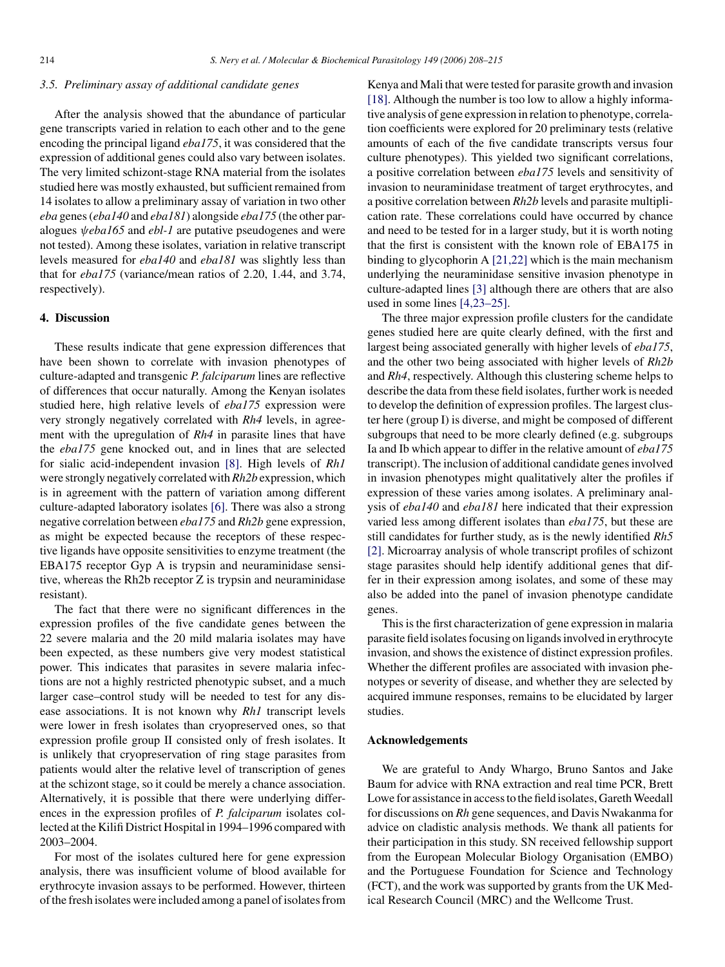## *3.5. Preliminary assay of additional candidate genes*

After the analysis showed that the abundance of particular gene transcripts varied in relation to each other and to the gene encoding the principal ligand *eba175*, it was considered that the expression of additional genes could also vary between isolates. The very limited schizont-stage RNA material from the isolates studied here was mostly exhausted, but sufficient remained from 14 isolates to allow a preliminary assay of variation in two other *eba* genes (*eba140* and *eba181*) alongside *eba175* (the other paralogues ψ*eba165* and *ebl-1* are putative pseudogenes and were not tested). Among these isolates, variation in relative transcript levels measured for *eba140* and *eba181* was slightly less than that for *eba175* (variance/mean ratios of 2.20, 1.44, and 3.74, respectively).

#### **4. Discussion**

These results indicate that gene expression differences that have been shown to correlate with invasion phenotypes of culture-adapted and transgenic *P. falciparum* lines are reflective of differences that occur naturally. Among the Kenyan isolates studied here, high relative levels of *eba175* expression were very strongly negatively correlated with *Rh4* levels, in agreement with the upregulation of *Rh4* in parasite lines that have the *eba175* gene knocked out, and in lines that are selected for sialic acid-independent invasion [\[8\].](#page-7-0) High levels of *Rh1* were strongly negatively correlated with*Rh2b* expression, which is in agreement with the pattern of variation among different culture-adapted laboratory isolates [\[6\]. T](#page-7-0)here was also a strong negative correlation between *eba175* and *Rh2b* gene expression, as might be expected because the receptors of these respective ligands have opposite sensitivities to enzyme treatment (the EBA175 receptor Gyp A is trypsin and neuraminidase sensitive, whereas the Rh2b receptor Z is trypsin and neuraminidase resistant).

The fact that there were no significant differences in the expression profiles of the five candidate genes between the 22 severe malaria and the 20 mild malaria isolates may have been expected, as these numbers give very modest statistical power. This indicates that parasites in severe malaria infections are not a highly restricted phenotypic subset, and a much larger case–control study will be needed to test for any disease associations. It is not known why *Rh1* transcript levels were lower in fresh isolates than cryopreserved ones, so that expression profile group II consisted only of fresh isolates. It is unlikely that cryopreservation of ring stage parasites from patients would alter the relative level of transcription of genes at the schizont stage, so it could be merely a chance association. Alternatively, it is possible that there were underlying differences in the expression profiles of *P. falciparum* isolates collected at the Kilifi District Hospital in 1994–1996 compared with 2003–2004.

For most of the isolates cultured here for gene expression analysis, there was insufficient volume of blood available for erythrocyte invasion assays to be performed. However, thirteen of the fresh isolates were included among a panel of isolates from Kenya and Mali that were tested for parasite growth and invasion [\[18\].](#page-7-0) Although the number is too low to allow a highly informative analysis of gene expression in relation to phenotype, correlation coefficients were explored for 20 preliminary tests (relative amounts of each of the five candidate transcripts versus four culture phenotypes). This yielded two significant correlations, a positive correlation between *eba175* levels and sensitivity of invasion to neuraminidase treatment of target erythrocytes, and a positive correlation between *Rh2b* levels and parasite multiplication rate. These correlations could have occurred by chance and need to be tested for in a larger study, but it is worth noting that the first is consistent with the known role of EBA175 in binding to glycophorin A [\[21,22\]](#page-7-0) which is the main mechanism underlying the neuraminidase sensitive invasion phenotype in culture-adapted lines [\[3\]](#page-7-0) although there are others that are also used in some lines [\[4,23–25\].](#page-7-0)

The three major expression profile clusters for the candidate genes studied here are quite clearly defined, with the first and largest being associated generally with higher levels of *eba175*, and the other two being associated with higher levels of *Rh2b* and *Rh4*, respectively. Although this clustering scheme helps to describe the data from these field isolates, further work is needed to develop the definition of expression profiles. The largest cluster here (group I) is diverse, and might be composed of different subgroups that need to be more clearly defined (e.g. subgroups Ia and Ib which appear to differ in the relative amount of *eba175* transcript). The inclusion of additional candidate genes involved in invasion phenotypes might qualitatively alter the profiles if expression of these varies among isolates. A preliminary analysis of *eba140* and *eba181* here indicated that their expression varied less among different isolates than *eba175*, but these are still candidates for further study, as is the newly identified *Rh5* [\[2\].](#page-7-0) Microarray analysis of whole transcript profiles of schizont stage parasites should help identify additional genes that differ in their expression among isolates, and some of these may also be added into the panel of invasion phenotype candidate genes.

This is the first characterization of gene expression in malaria parasite field isolates focusing on ligands involved in erythrocyte invasion, and shows the existence of distinct expression profiles. Whether the different profiles are associated with invasion phenotypes or severity of disease, and whether they are selected by acquired immune responses, remains to be elucidated by larger studies.

## **Acknowledgements**

We are grateful to Andy Whargo, Bruno Santos and Jake Baum for advice with RNA extraction and real time PCR, Brett Lowe for assistance in access to the field isolates, Gareth Weedall for discussions on *Rh* gene sequences, and Davis Nwakanma for advice on cladistic analysis methods. We thank all patients for their participation in this study. SN received fellowship support from the European Molecular Biology Organisation (EMBO) and the Portuguese Foundation for Science and Technology (FCT), and the work was supported by grants from the UK Medical Research Council (MRC) and the Wellcome Trust.